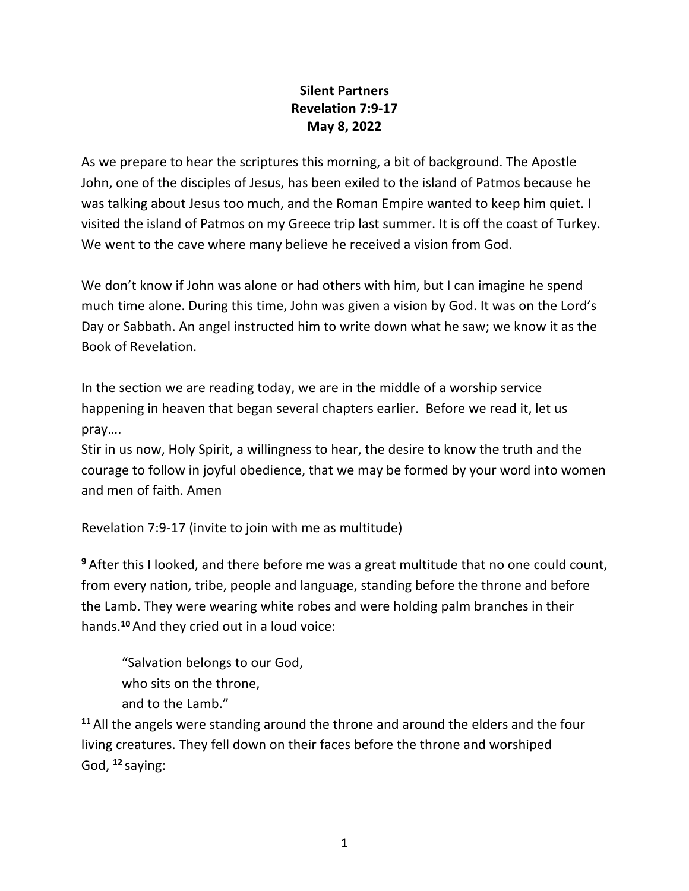## **Silent Partners Revelation 7:9-17 May 8, 2022**

As we prepare to hear the scriptures this morning, a bit of background. The Apostle John, one of the disciples of Jesus, has been exiled to the island of Patmos because he was talking about Jesus too much, and the Roman Empire wanted to keep him quiet. I visited the island of Patmos on my Greece trip last summer. It is off the coast of Turkey. We went to the cave where many believe he received a vision from God.

We don't know if John was alone or had others with him, but I can imagine he spend much time alone. During this time, John was given a vision by God. It was on the Lord's Day or Sabbath. An angel instructed him to write down what he saw; we know it as the Book of Revelation.

In the section we are reading today, we are in the middle of a worship service happening in heaven that began several chapters earlier. Before we read it, let us pray….

Stir in us now, Holy Spirit, a willingness to hear, the desire to know the truth and the courage to follow in joyful obedience, that we may be formed by your word into women and men of faith. Amen

Revelation 7:9-17 (invite to join with me as multitude)

**<sup>9</sup>** After this I looked, and there before me was a great multitude that no one could count, from every nation, tribe, people and language, standing before the throne and before the Lamb. They were wearing white robes and were holding palm branches in their hands.**<sup>10</sup>** And they cried out in a loud voice:

"Salvation belongs to our God, who sits on the throne,

and to the Lamb."

**<sup>11</sup>** All the angels were standing around the throne and around the elders and the four living creatures. They fell down on their faces before the throne and worshiped God, **<sup>12</sup>** saying: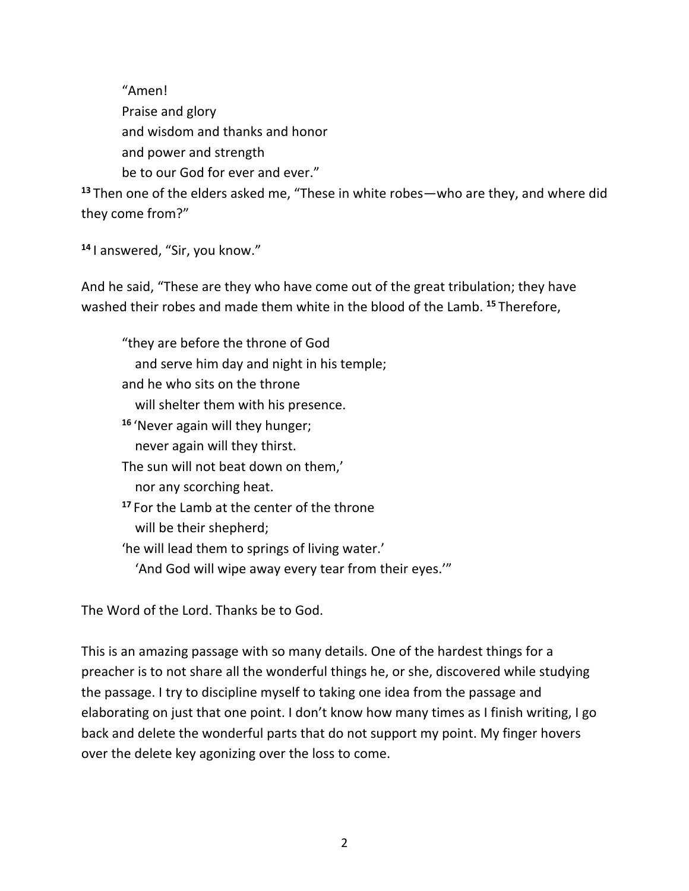"Amen! Praise and glory and wisdom and thanks and honor and power and strength be to our God for ever and ever."

**<sup>13</sup>** Then one of the elders asked me, "These in white robes—who are they, and where did they come from?"

**<sup>14</sup>** I answered, "Sir, you know."

And he said, "These are they who have come out of the great tribulation; they have washed their robes and made them white in the blood of the Lamb. **<sup>15</sup>** Therefore,

"they are before the throne of God and serve him day and night in his temple; and he who sits on the throne will shelter them with his presence. **<sup>16</sup>** 'Never again will they hunger; never again will they thirst. The sun will not beat down on them,' nor any scorching heat. **<sup>17</sup>** For the Lamb at the center of the throne will be their shepherd; 'he will lead them to springs of living water.' 'And God will wipe away every tear from their eyes.'"

The Word of the Lord. Thanks be to God.

This is an amazing passage with so many details. One of the hardest things for a preacher is to not share all the wonderful things he, or she, discovered while studying the passage. I try to discipline myself to taking one idea from the passage and elaborating on just that one point. I don't know how many times as I finish writing, I go back and delete the wonderful parts that do not support my point. My finger hovers over the delete key agonizing over the loss to come.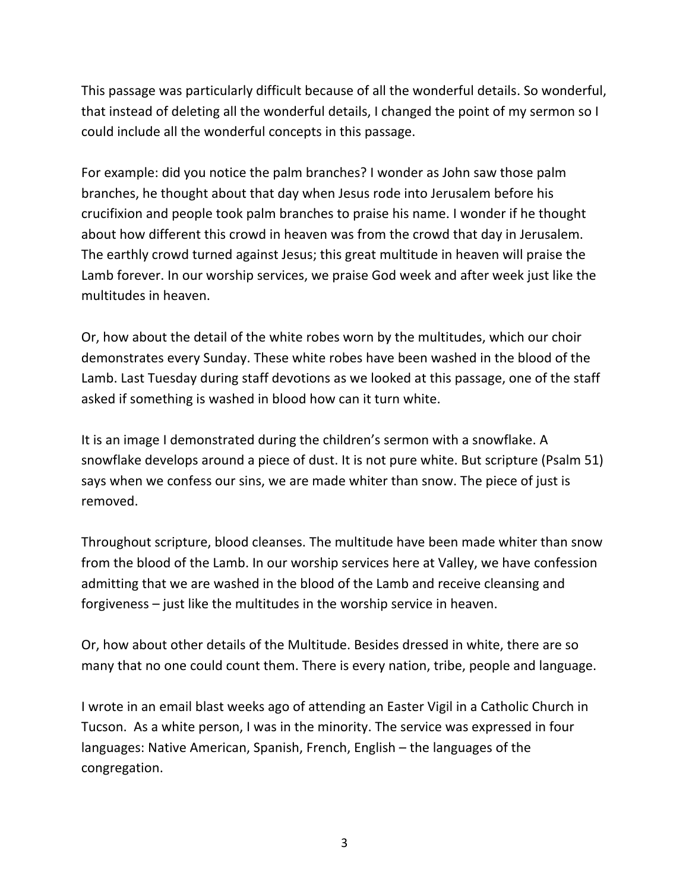This passage was particularly difficult because of all the wonderful details. So wonderful, that instead of deleting all the wonderful details, I changed the point of my sermon so I could include all the wonderful concepts in this passage.

For example: did you notice the palm branches? I wonder as John saw those palm branches, he thought about that day when Jesus rode into Jerusalem before his crucifixion and people took palm branches to praise his name. I wonder if he thought about how different this crowd in heaven was from the crowd that day in Jerusalem. The earthly crowd turned against Jesus; this great multitude in heaven will praise the Lamb forever. In our worship services, we praise God week and after week just like the multitudes in heaven.

Or, how about the detail of the white robes worn by the multitudes, which our choir demonstrates every Sunday. These white robes have been washed in the blood of the Lamb. Last Tuesday during staff devotions as we looked at this passage, one of the staff asked if something is washed in blood how can it turn white.

It is an image I demonstrated during the children's sermon with a snowflake. A snowflake develops around a piece of dust. It is not pure white. But scripture (Psalm 51) says when we confess our sins, we are made whiter than snow. The piece of just is removed.

Throughout scripture, blood cleanses. The multitude have been made whiter than snow from the blood of the Lamb. In our worship services here at Valley, we have confession admitting that we are washed in the blood of the Lamb and receive cleansing and forgiveness – just like the multitudes in the worship service in heaven.

Or, how about other details of the Multitude. Besides dressed in white, there are so many that no one could count them. There is every nation, tribe, people and language.

I wrote in an email blast weeks ago of attending an Easter Vigil in a Catholic Church in Tucson. As a white person, I was in the minority. The service was expressed in four languages: Native American, Spanish, French, English – the languages of the congregation.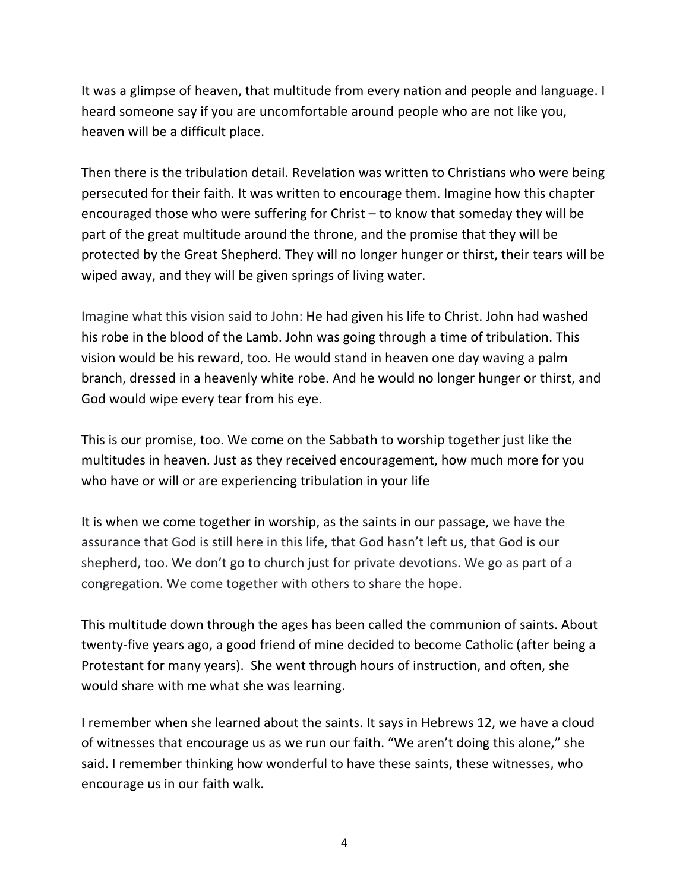It was a glimpse of heaven, that multitude from every nation and people and language. I heard someone say if you are uncomfortable around people who are not like you, heaven will be a difficult place.

Then there is the tribulation detail. Revelation was written to Christians who were being persecuted for their faith. It was written to encourage them. Imagine how this chapter encouraged those who were suffering for Christ – to know that someday they will be part of the great multitude around the throne, and the promise that they will be protected by the Great Shepherd. They will no longer hunger or thirst, their tears will be wiped away, and they will be given springs of living water.

Imagine what this vision said to John: He had given his life to Christ. John had washed his robe in the blood of the Lamb. John was going through a time of tribulation. This vision would be his reward, too. He would stand in heaven one day waving a palm branch, dressed in a heavenly white robe. And he would no longer hunger or thirst, and God would wipe every tear from his eye.

This is our promise, too. We come on the Sabbath to worship together just like the multitudes in heaven. Just as they received encouragement, how much more for you who have or will or are experiencing tribulation in your life

It is when we come together in worship, as the saints in our passage, we have the assurance that God is still here in this life, that God hasn't left us, that God is our shepherd, too. We don't go to church just for private devotions. We go as part of a congregation. We come together with others to share the hope.

This multitude down through the ages has been called the communion of saints. About twenty-five years ago, a good friend of mine decided to become Catholic (after being a Protestant for many years). She went through hours of instruction, and often, she would share with me what she was learning.

I remember when she learned about the saints. It says in Hebrews 12, we have a cloud of witnesses that encourage us as we run our faith. "We aren't doing this alone," she said. I remember thinking how wonderful to have these saints, these witnesses, who encourage us in our faith walk.